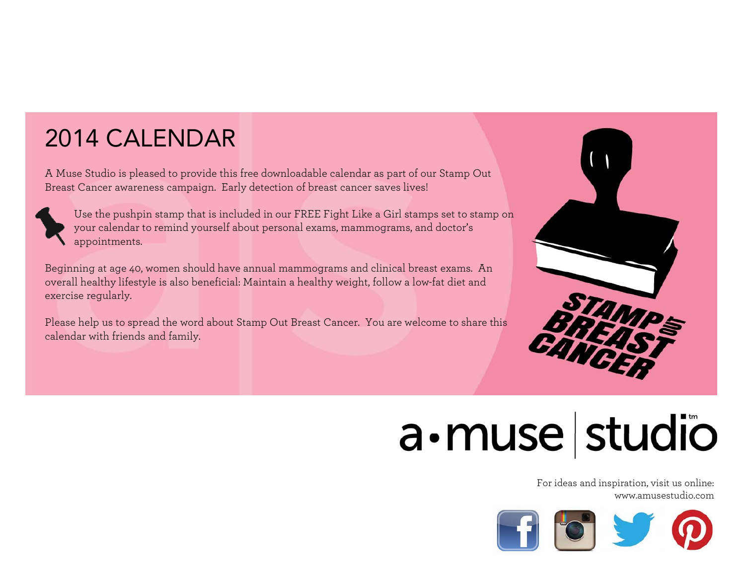### 2014 CALENDAR

A Muse Studio is pleased to provide this free downloadable calendar as part of our Stamp Out Breast Cancer awareness campaign. Early detection of breast cancer saves lives!



Use the pushpin stamp that is included in our FREE Fight Like a Girl stamps set to stamp on your calendar to remind yourself about personal exams, mammograms, and doctor's appointments.

Beginning at age 40, women should have annual mammograms and clinical breast exams. An overall healthy lifestyle is also beneficial: Maintain a healthy weight, follow a low-fat diet and exercise regularly.

Please help us to spread the word about Stamp Out Breast Cancer. You are welcome to share this calendar with friends and family.



## a · muse studio

For ideas and inspiration, visit us online: www.amusestudio.com

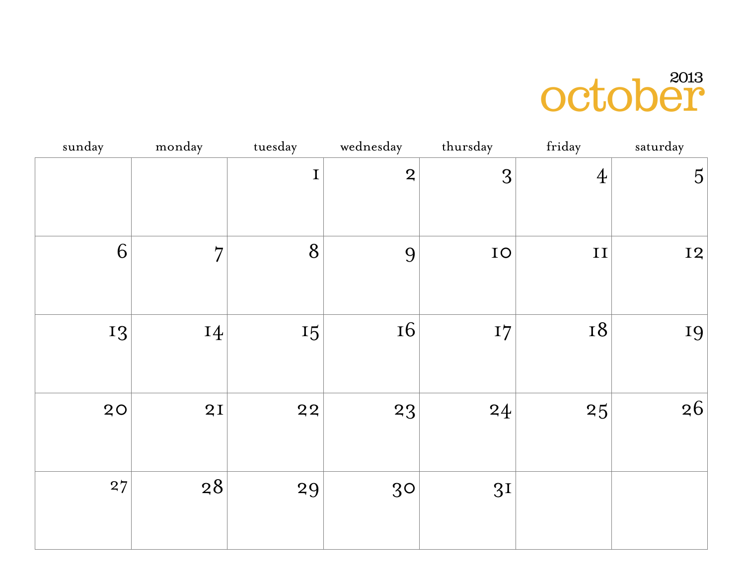## october

| sunday | monday         | tuesday | wednesday      | thursday       | friday         | saturday       |
|--------|----------------|---------|----------------|----------------|----------------|----------------|
|        |                | $\bf I$ | $\overline{2}$ | 3              | $\overline{4}$ | $\overline{5}$ |
| 6      | $\overline{7}$ | 8       | 9              | ${\rm IO}$     | $\;$ II        | <b>I2</b>      |
| 13     | 14             | 15      | <b>16</b>      | I7             | <b>18</b>      | 19             |
| 20     | 2I             | 22      | 23             | 24             | 25             | 26             |
| 27     | 28             | 29      | 30             | 3 <sub>I</sub> |                |                |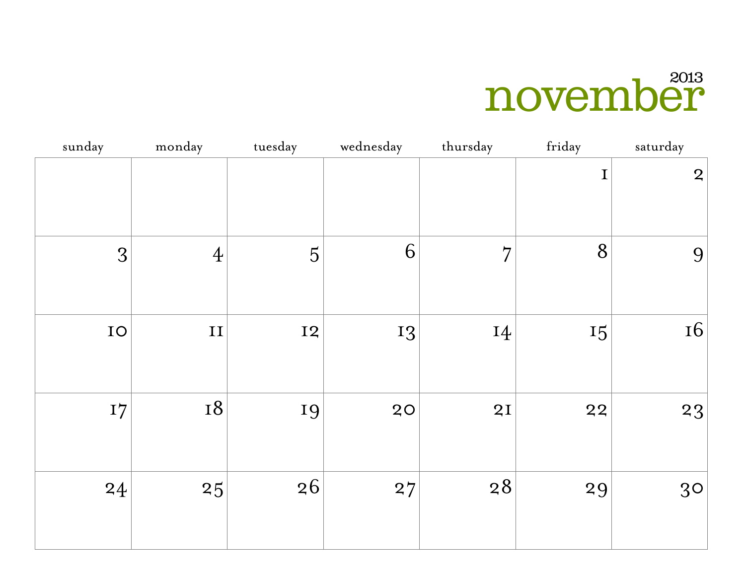## november

| sunday | monday         | tuesday        | wednesday | thursday       | friday | saturday       |
|--------|----------------|----------------|-----------|----------------|--------|----------------|
|        |                |                |           |                | I      | $\overline{2}$ |
| 3      | $\overline{4}$ | $\overline{5}$ | 6         | $\overline{7}$ | 8      | 9              |
| IO     | $\mathbf{II}$  | <b>I2</b>      | 13        | 14             | 15     | <b>16</b>      |
| I7     | <b>18</b>      | 19             | 20        | 2I             | 22     | 23             |
| 24     | 25             | 26             | 27        | 28             | 29     | 30             |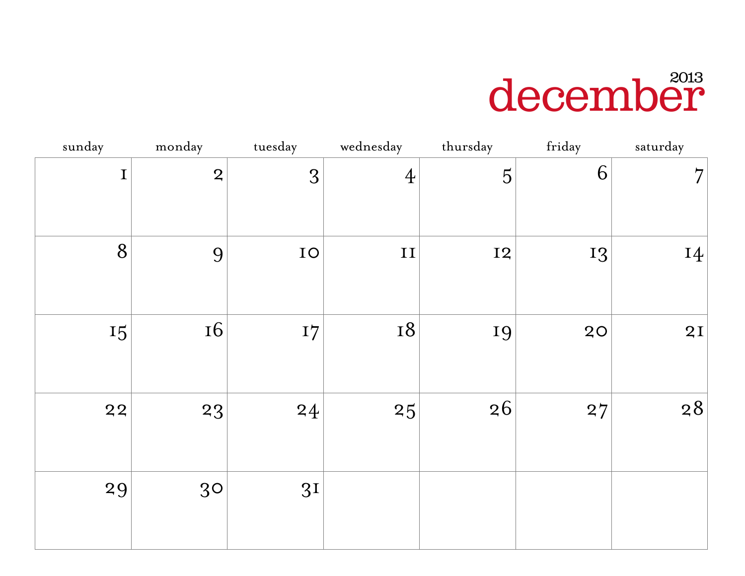## december

| sunday | monday         | tuesday        | wednesday      | thursday       | friday | saturday       |
|--------|----------------|----------------|----------------|----------------|--------|----------------|
| I      | $\overline{2}$ | 3              | $\overline{4}$ | $\overline{5}$ | 6      | $\overline{7}$ |
| 8      | 9              | IO             | $\;$ II        | <b>I2</b>      | 13     | 14             |
| 15     | <b>16</b>      | 17             | <b>18</b>      | 19             | 20     | 2I             |
| 22     | 23             | 24             | 25             | 26             | 27     | 28             |
| 29     | 30             | 3 <sup>I</sup> |                |                |        |                |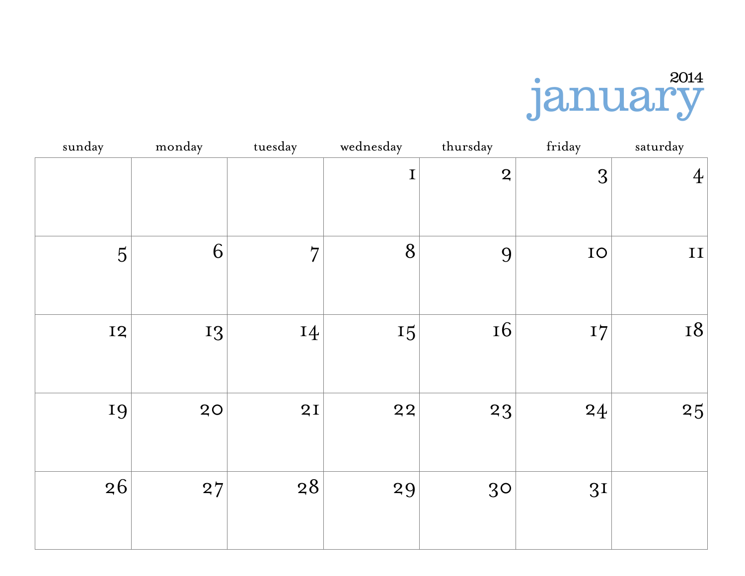

| sunday         | monday | tuesday        | wednesday   | thursday       | friday         | saturday       |
|----------------|--------|----------------|-------------|----------------|----------------|----------------|
|                |        |                | $\mathbf I$ | $\overline{2}$ | 3              | $\overline{4}$ |
| $\overline{5}$ | 6      | $\overline{7}$ | 8           | 9              | IO             | II             |
| <b>I2</b>      | 13     | 14             | 15          | <b>16</b>      | I7             | <b>18</b>      |
| 19             | 20     | 2I             | 22          | 23             | 24             | 25             |
| 26             | 27     | $28$           | 29          | 30             | 3 <sub>I</sub> |                |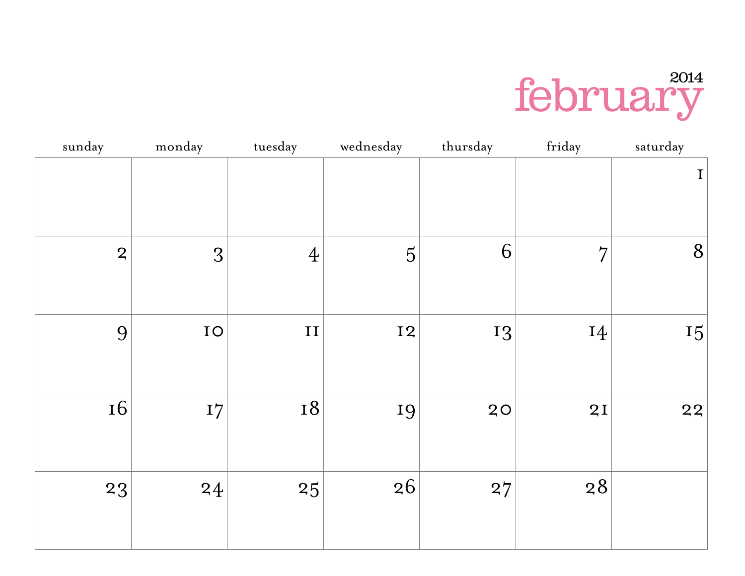

| sunday         | monday | tuesday        | wednesday      | thursday | friday         | saturday       |
|----------------|--------|----------------|----------------|----------|----------------|----------------|
|                |        |                |                |          |                | $\mathbf I$    |
| $\overline{2}$ | 3      | $\overline{4}$ | $\overline{5}$ | 6        | $\overline{7}$ | $8\phantom{1}$ |
| 9              | IO     | $\mathbf{II}$  | <b>I2</b>      | 13       | 14             | 15             |
| <b>16</b>      | I7     | <b>18</b>      | 19             | 20       | 2I             | 22             |
| 23             | 24     | 25             | 26             | 27       | 28             |                |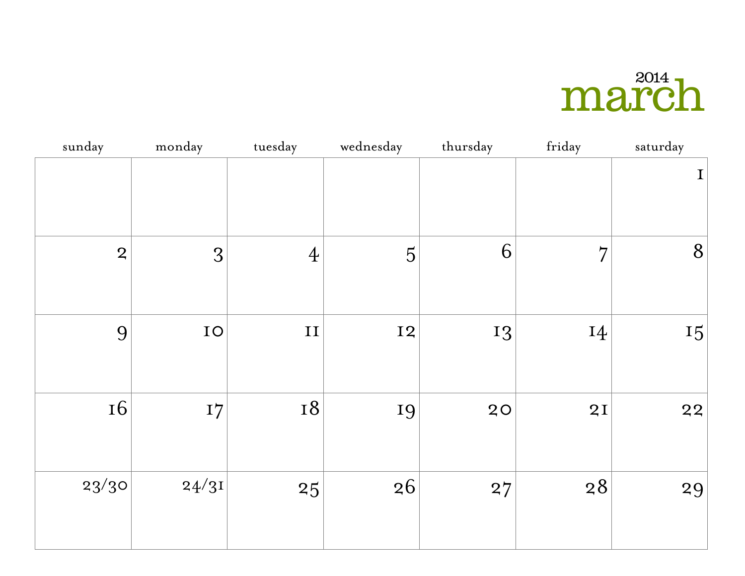### march

| sunday         | monday | tuesday        | wednesday      | thursday | friday         | saturday    |
|----------------|--------|----------------|----------------|----------|----------------|-------------|
|                |        |                |                |          |                | $\mathbf I$ |
| $\overline{2}$ | 3      | $\overline{4}$ | $\overline{5}$ | 6        | $\overline{7}$ | 8           |
| 9              | IO     | II             | <b>I2</b>      | 13       | 14             | 15          |
| <b>16</b>      | I7     | <b>18</b>      | 19             | 20       | 2I             | 22          |
| 23/30          | 24/31  | 25             | 26             | 27       | 28             | 29          |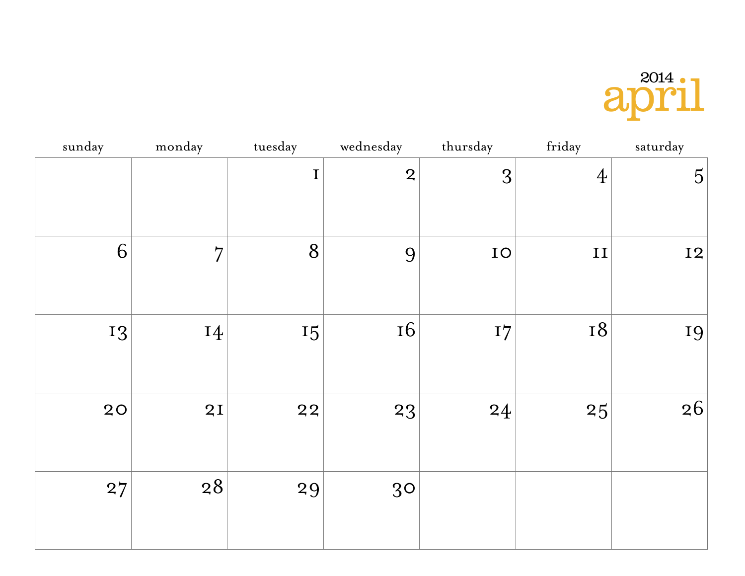

| sunday | monday         | tuesday | wednesday      | thursday   | friday         | saturday       |
|--------|----------------|---------|----------------|------------|----------------|----------------|
|        |                | I       | $\overline{2}$ | 3          | $\overline{4}$ | $\overline{5}$ |
| 6      | $\overline{7}$ | 8       | 9              | ${\rm IO}$ | $\;$ II        | <b>I2</b>      |
| 13     | 14             | 15      | <b>16</b>      | I7         | <b>18</b>      | 19             |
| 20     | 2I             | 22      | 23             | 24         | 25             | 26             |
| 27     | 28             | 29      | 30             |            |                |                |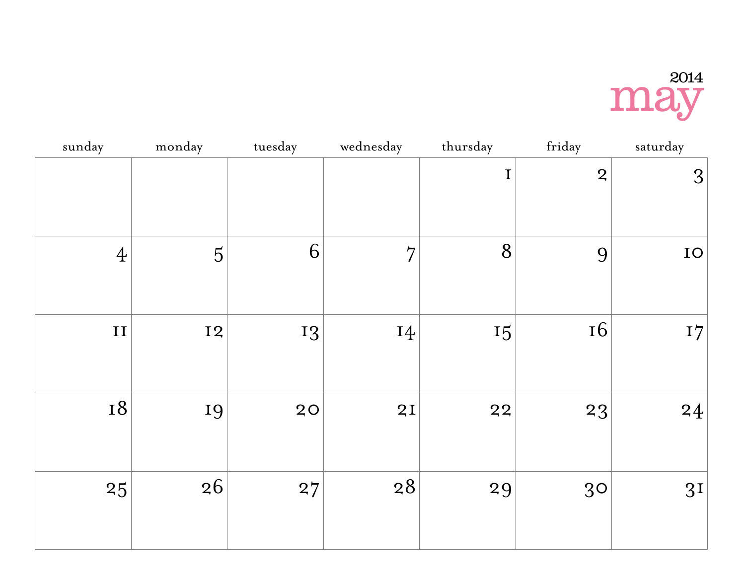#### may 2014

| sunday         | monday         | tuesday | wednesday      | thursday    | friday         | saturday       |
|----------------|----------------|---------|----------------|-------------|----------------|----------------|
|                |                |         |                | $\mathbf I$ | $\overline{2}$ | 3              |
| $\overline{4}$ | $\overline{5}$ | 6       | $\overline{7}$ | 8           | 9              | $IO$           |
| $\;$ II        | <b>I2</b>      | 13      | 14             | 15          | <b>16</b>      | I7             |
| <b>18</b>      | 19             | 20      | 2I             | 22          | 23             | 24             |
| 25             | 26             | 27      | 28             | 29          | 30             | 3 <sub>I</sub> |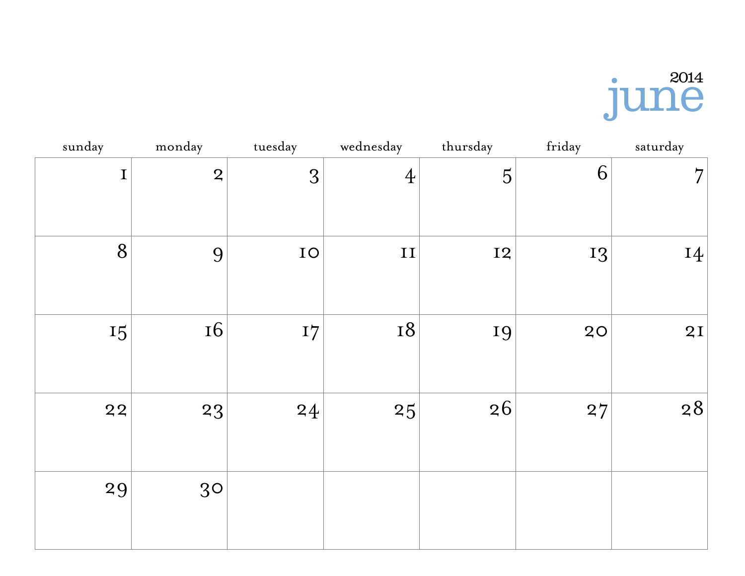# jun<sup>2014</sup>

| sunday      | monday         | tuesday | wednesday      | thursday       | friday | saturday       |
|-------------|----------------|---------|----------------|----------------|--------|----------------|
| $\mathbf I$ | $\overline{2}$ | 3       | $\overline{4}$ | $\overline{5}$ | 6      | $\overline{7}$ |
| 8           | 9              | IO      | $\mathbf{II}$  | <b>I2</b>      | 13     | 14             |
| 15          | <b>16</b>      | I7      | <b>18</b>      | 19             | 20     | 2I             |
| 22          | 23             | 24      | 25             | 26             | 27     | 28             |
| 29          | 30             |         |                |                |        |                |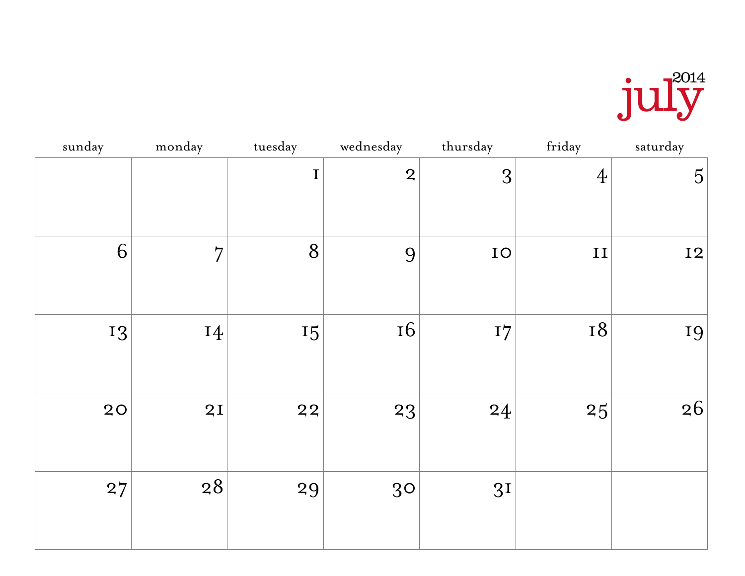

| sunday | monday         | tuesday | wednesday      | thursday       | friday         | saturday       |
|--------|----------------|---------|----------------|----------------|----------------|----------------|
|        |                | I       | $\overline{2}$ | 3              | $\overline{4}$ | $\overline{5}$ |
| 6      | $\overline{7}$ | 8       | 9              | IO             | $\;$ II        | <b>I2</b>      |
| 13     | 14             | 15      | <b>16</b>      | I7             | 18             | 19             |
| 20     | 2I             | 22      | 23             | 24             | 25             | 26             |
| 27     | 28             | 29      | 30             | 3 <sub>I</sub> |                |                |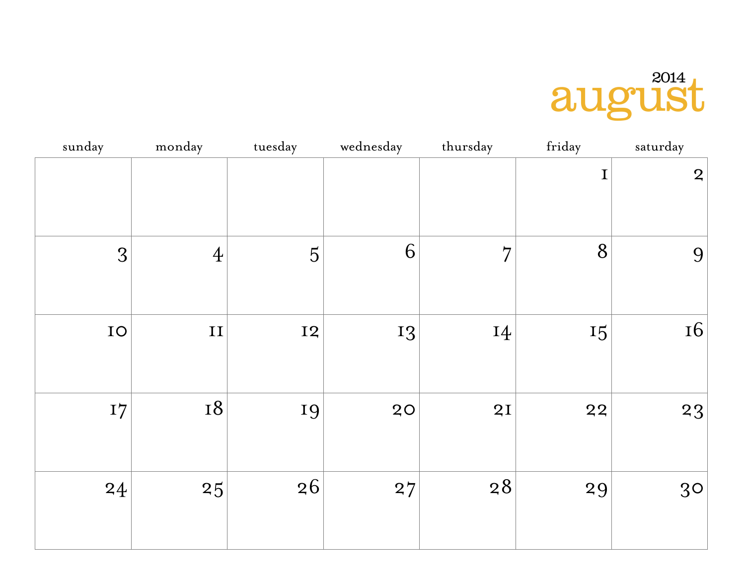## august

| sunday | monday         | tuesday   | wednesday | thursday       | friday | saturday       |
|--------|----------------|-----------|-----------|----------------|--------|----------------|
|        |                |           |           |                | I      | $\overline{2}$ |
| 3      | $\overline{4}$ | 5         | 6         | $\overline{7}$ | 8      | 9              |
| IO     | $\mathbf{I}$   | <b>I2</b> | 13        | 14             | 15     | <b>16</b>      |
| I7     | <b>18</b>      | 19        | 20        | 2I             | 22     | 23             |
| 24     | 25             | 26        | 27        | 28             | 29     | 30             |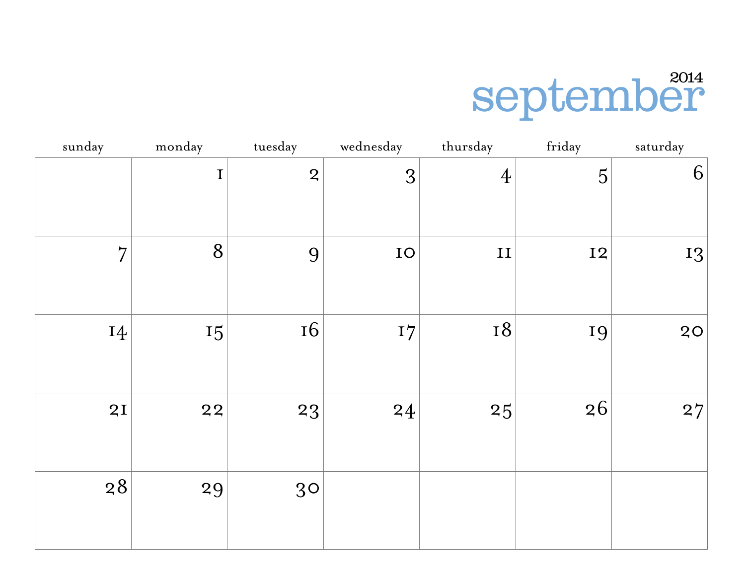# september

| sunday         | monday      | tuesday        | wednesday | thursday       | friday         | saturday |
|----------------|-------------|----------------|-----------|----------------|----------------|----------|
|                | $\mathbf I$ | $\overline{2}$ | 3         | $\overline{4}$ | $\overline{5}$ | 6        |
| $\overline{7}$ | 8           | 9              | IO        | $\mathbf{II}$  | <b>I2</b>      | 13       |
| 14             | 15          | <b>16</b>      | I7        | <b>18</b>      | 19             | 20       |
| 2I             | 22          | 23             | 24        | 25             | 26             | 27       |
| 28             | 29          | 30             |           |                |                |          |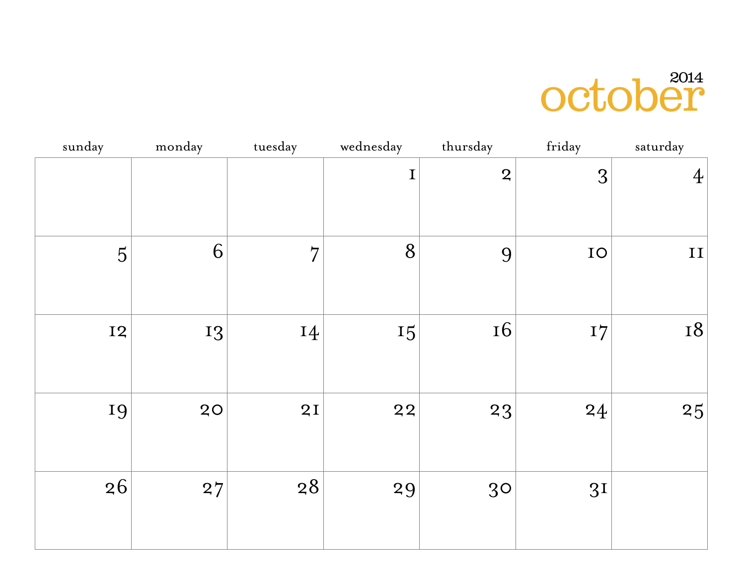## october

| sunday         | monday | tuesday        | wednesday   | thursday       | friday         | saturday       |
|----------------|--------|----------------|-------------|----------------|----------------|----------------|
|                |        |                | $\mathbf I$ | $\overline{2}$ | 3              | $\overline{4}$ |
| $\overline{5}$ | 6      | $\overline{7}$ | 8           | 9              | IO             | $\;$ II        |
| <b>I2</b>      | 13     | 14             | 15          | <b>16</b>      | I7             | <b>18</b>      |
| 19             | 20     | 2I             | 22          | 23             | 24             | 25             |
| 26             | 27     | 28             | 29          | 30             | 3 <sub>I</sub> |                |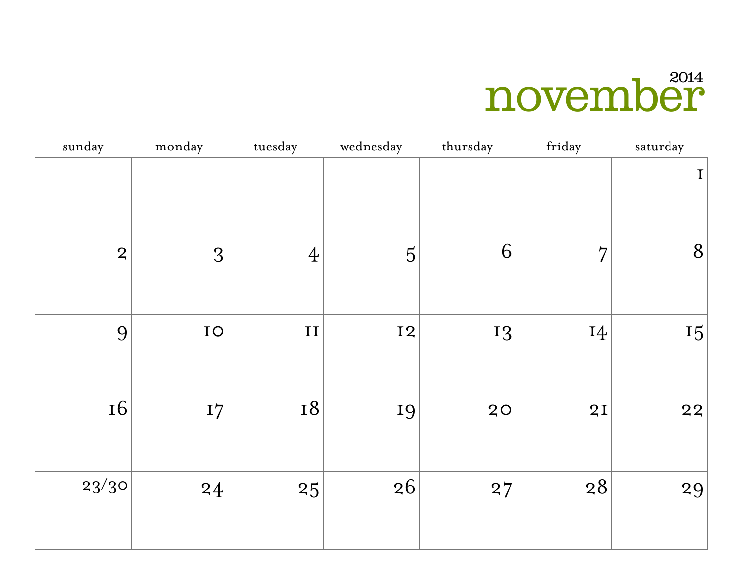## november

| sunday         | monday     | tuesday        | wednesday      | thursday | friday         | saturday    |
|----------------|------------|----------------|----------------|----------|----------------|-------------|
|                |            |                |                |          |                | $\mathbf I$ |
| $\overline{2}$ | 3          | $\overline{4}$ | $\overline{5}$ | 6        | $\overline{7}$ | 8           |
| 9              | ${\rm IO}$ | $\mathbf{II}$  | <b>I2</b>      | 13       | 14             | 15          |
| <b>16</b>      | I7         | <b>18</b>      | 19             | 20       | 2I             | 22          |
| 23/30          | 24         | 25             | 26             | 27       | 28             | 29          |